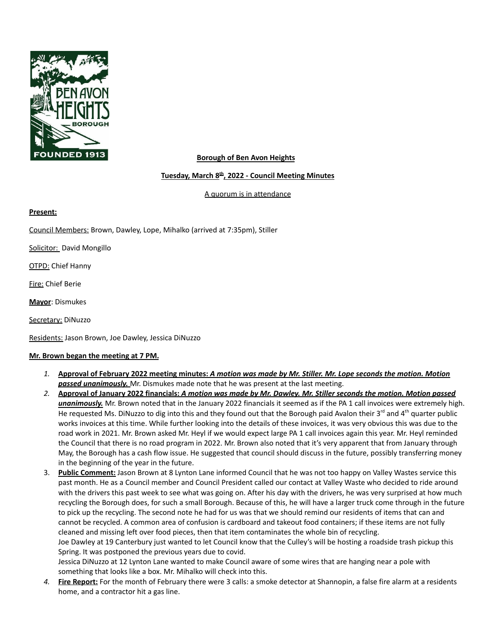

#### **Borough of Ben Avon Heights**

#### **Tuesday, March 8 th , 2022 - Council Meeting Minutes**

A quorum is in attendance

#### **Present:**

Council Members: Brown, Dawley, Lope, Mihalko (arrived at 7:35pm), Stiller

Solicitor: David Mongillo

**OTPD: Chief Hanny** 

Fire: Chief Berie

**Mayor**: Dismukes

Secretary: DiNuzzo

Residents: Jason Brown, Joe Dawley, Jessica DiNuzzo

#### **Mr. Brown began the meeting at 7 PM.**

- 1. Approval of February 2022 meeting minutes: A motion was made by Mr. Stiller. Mr. Lope seconds the motion. Motion *passed unanimously.* Mr. Dismukes made note that he was present at the last meeting.
- 2. Approval of January 2022 financials: A motion was made by Mr. Dawley. Mr. Stiller seconds the motion. Motion passed *unanimously.* Mr. Brown noted that in the January 2022 financials it seemed as if the PA 1 call invoices were extremely high. He requested Ms. DiNuzzo to dig into this and they found out that the Borough paid Avalon their 3<sup>rd</sup> and 4<sup>th</sup> quarter public works invoices at this time. While further looking into the details of these invoices, it was very obvious this was due to the road work in 2021. Mr. Brown asked Mr. Heyl if we would expect large PA 1 call invoices again this year. Mr. Heyl reminded the Council that there is no road program in 2022. Mr. Brown also noted that it's very apparent that from January through May, the Borough has a cash flow issue. He suggested that council should discuss in the future, possibly transferring money in the beginning of the year in the future.
- 3. **Public Comment:** Jason Brown at 8 Lynton Lane informed Council that he was not too happy on Valley Wastes service this past month. He as a Council member and Council President called our contact at Valley Waste who decided to ride around with the drivers this past week to see what was going on. After his day with the drivers, he was very surprised at how much recycling the Borough does, for such a small Borough. Because of this, he will have a larger truck come through in the future to pick up the recycling. The second note he had for us was that we should remind our residents of items that can and cannot be recycled. A common area of confusion is cardboard and takeout food containers; if these items are not fully cleaned and missing left over food pieces, then that item contaminates the whole bin of recycling. Joe Dawley at 19 Canterbury just wanted to let Council know that the Culley's will be hosting a roadside trash pickup this Spring. It was postponed the previous years due to covid. Jessica DiNuzzo at 12 Lynton Lane wanted to make Council aware of some wires that are hanging near a pole with
- something that looks like a box. Mr. Mihalko will check into this. *4.* **Fire Report:** For the month of February there were 3 calls: a smoke detector at Shannopin, a false fire alarm at a residents home, and a contractor hit a gas line.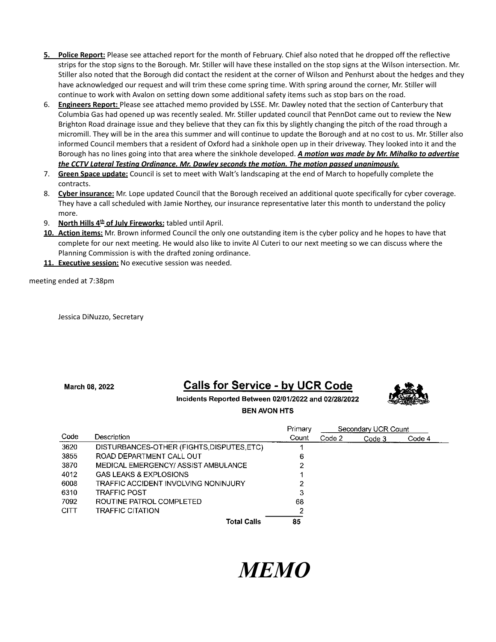- **5. Police Report:** Please see attached report for the month of February. Chief also noted that he dropped off the reflective strips for the stop signs to the Borough. Mr. Stiller will have these installed on the stop signs at the Wilson intersection. Mr. Stiller also noted that the Borough did contact the resident at the corner of Wilson and Penhurst about the hedges and they have acknowledged our request and will trim these come spring time. With spring around the corner, Mr. Stiller will continue to work with Avalon on setting down some additional safety items such as stop bars on the road.
- 6. **Engineers Report:** Please see attached memo provided by LSSE. Mr. Dawley noted that the section of Canterbury that Columbia Gas had opened up was recently sealed. Mr. Stiller updated council that PennDot came out to review the New Brighton Road drainage issue and they believe that they can fix this by slightly changing the pitch of the road through a micromill. They will be in the area this summer and will continue to update the Borough and at no cost to us. Mr. Stiller also informed Council members that a resident of Oxford had a sinkhole open up in their driveway. They looked into it and the Borough has no lines going into that area where the sinkhole developed. *A motion was made by Mr. Mihalko to advertise the CCTV Lateral Testing Ordinance. Mr. Dawley seconds the motion. The motion passed unanimously.*
- 7. **Green Space update:** Council is set to meet with Walt's landscaping at the end of March to hopefully complete the contracts.
- 8. **Cyber insurance:** Mr. Lope updated Council that the Borough received an additional quote specifically for cyber coverage. They have a call scheduled with Jamie Northey, our insurance representative later this month to understand the policy more.
- 9. **North Hills 4 th of July Fireworks:** tabled until April.
- **10. Action items:** Mr. Brown informed Council the only one outstanding item is the cyber policy and he hopes to have that complete for our next meeting. He would also like to invite Al Cuteri to our next meeting so we can discuss where the Planning Commission is with the drafted zoning ordinance.
- **11. Executive session:** No executive session was needed.

meeting ended at 7:38pm

Jessica DiNuzzo, Secretary

March 08, 2022

# **Calls for Service - by UCR Code**

Incidents Reported Between 02/01/2022 and 02/28/2022 **BEN AVON HTS** 



|             |                                            | Primary | Secondary UCR Count |        |        |
|-------------|--------------------------------------------|---------|---------------------|--------|--------|
| Code        | Description                                | Count   | Code 2              | Code 3 | Code 4 |
| 3620        | DISTURBANCES-OTHER (FIGHTS, DISPUTES, ETC) |         |                     |        |        |
| 3855        | ROAD DEPARTMENT CALL OUT                   | 6       |                     |        |        |
| 3870        | MEDICAL EMERGENCY/ ASSIST AMBULANCE        | 2       |                     |        |        |
| 4012        | <b>GAS LEAKS &amp; EXPLOSIONS</b>          |         |                     |        |        |
| 6008        | TRAFFIC ACCIDENT INVOLVING NONINJURY       | 2       |                     |        |        |
| 6310        | <b>TRAFFIC POST</b>                        | З       |                     |        |        |
| 7092        | ROUTINE PATROL COMPLETED                   | 68      |                     |        |        |
| <b>CITT</b> | TRAFFIC CITATION                           | 2       |                     |        |        |
|             | Total Calls                                | 85      |                     |        |        |

# *MEMO*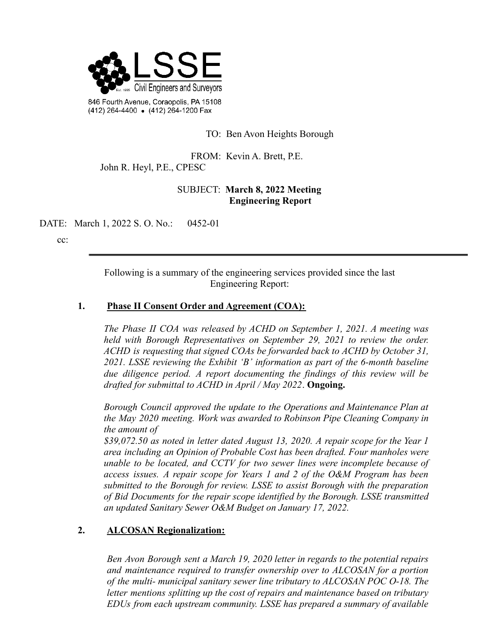

TO: Ben Avon Heights Borough

FROM: Kevin A. Brett, P.E. John R. Heyl, P.E., CPESC

## SUBJECT: **March 8, 2022 Meeting Engineering Report**

DATE: March 1, 2022 S. O. No.: 0452-01

cc:

Following is a summary of the engineering services provided since the last Engineering Report:

#### **1. Phase II Consent Order and Agreement (COA):**

*The Phase II COA was released by ACHD on September 1, 2021. A meeting was held with Borough Representatives on September 29, 2021 to review the order. ACHD is requesting that signed COAs be forwarded back to ACHD by October 31, 2021. LSSE reviewing the Exhibit 'B' information as part of the 6-month baseline due diligence period. A report documenting the findings of this review will be drafted for submittal to ACHD in April / May 2022*. **Ongoing.**

*Borough Council approved the update to the Operations and Maintenance Plan at the May 2020 meeting. Work was awarded to Robinson Pipe Cleaning Company in the amount of*

*\$39,072.50 as noted in letter dated August 13, 2020. A repair scope for the Year 1 area including an Opinion of Probable Cost has been drafted. Four manholes were unable to be located, and CCTV for two sewer lines were incomplete because of access issues. A repair scope for Years 1 and 2 of the O&M Program has been submitted to the Borough for review. LSSE to assist Borough with the preparation of Bid Documents for the repair scope identified by the Borough. LSSE transmitted an updated Sanitary Sewer O&M Budget on January 17, 2022.*

#### **2. ALCOSAN Regionalization:**

*Ben Avon Borough sent a March 19, 2020 letter in regards to the potential repairs and maintenance required to transfer ownership over to ALCOSAN for a portion of the multi- municipal sanitary sewer line tributary to ALCOSAN POC O-18. The letter mentions splitting up the cost of repairs and maintenance based on tributary EDUs from each upstream community. LSSE has prepared a summary of available*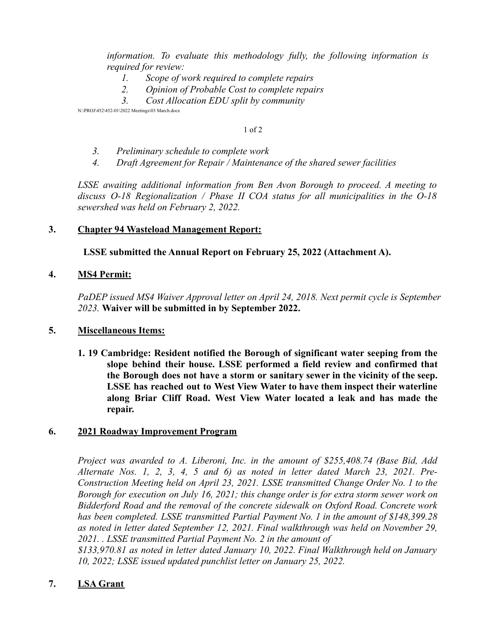*information. To evaluate this methodology fully, the following information is required for review:*

- *1. Scope of work required to complete repairs*
- *2. Opinion of Probable Cost to complete repairs*
- *3. Cost Allocation EDU split by community*

N:\PROJ\452\452-01\2022 Meetings\03 March.docx

1 of 2

- *3. Preliminary schedule to complete work*
- *4. Draft Agreement for Repair / Maintenance of the shared sewer facilities*

*LSSE awaiting additional information from Ben Avon Borough to proceed. A meeting to discuss O-18 Regionalization / Phase II COA status for all municipalities in the O-18 sewershed was held on February 2, 2022.*

#### **3. Chapter 94 Wasteload Management Report:**

**LSSE submitted the Annual Report on February 25, 2022 (Attachment A).**

#### **4. MS4 Permit:**

*PaDEP issued MS4 Waiver Approval letter on April 24, 2018. Next permit cycle is September 2023.* **Waiver will be submitted in by September 2022.**

#### **5. Miscellaneous Items:**

**1. 19 Cambridge: Resident notified the Borough of significant water seeping from the slope behind their house. LSSE performed a field review and confirmed that the Borough does not have a storm or sanitary sewer in the vicinity of the seep. LSSE has reached out to West View Water to have them inspect their waterline along Briar Cliff Road. West View Water located a leak and has made the repair.**

#### **6. 2021 Roadway Improvement Program**

*Project was awarded to A. Liberoni, Inc. in the amount of \$255,408.74 (Base Bid, Add Alternate Nos. 1, 2, 3, 4, 5 and 6) as noted in letter dated March 23, 2021. Pre-Construction Meeting held on April 23, 2021. LSSE transmitted Change Order No. 1 to the Borough for execution on July 16, 2021; this change order is for extra storm sewer work on Bidderford Road and the removal of the concrete sidewalk on Oxford Road. Concrete work has been completed. LSSE transmitted Partial Payment No. 1 in the amount of \$148,399.28 as noted in letter dated September 12, 2021. Final walkthrough was held on November 29, 2021. . LSSE transmitted Partial Payment No. 2 in the amount of*

*\$133,970.81 as noted in letter dated January 10, 2022. Final Walkthrough held on January 10, 2022; LSSE issued updated punchlist letter on January 25, 2022.*

#### **7. LSA Grant**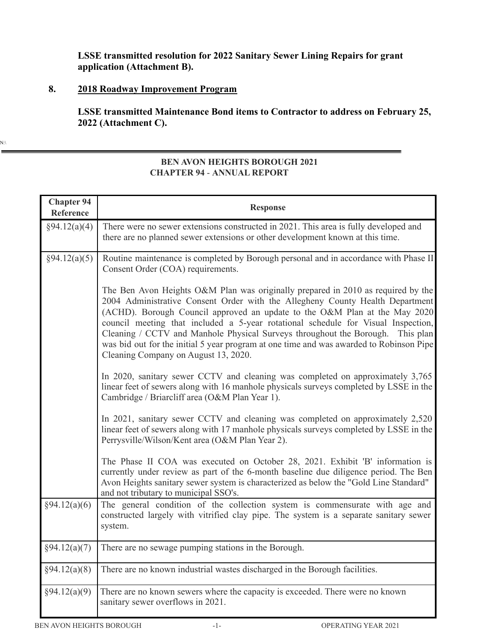# **LSSE transmitted resolution for 2022 Sanitary Sewer Lining Repairs for grant application (Attachment B).**

# **8. 2018 Roadway Improvement Program**

**LSSE transmitted Maintenance Bond items to Contractor to address on February 25, 2022 (Attachment C).**

 $N:\setminus$ 

### **BEN AVON HEIGHTS BOROUGH 2021 CHAPTER 94** - **ANNUAL REPORT**

| <b>Chapter 94</b><br>Reference | <b>Response</b>                                                                                                                                                                                                                                                                                                                                                                                                                                                                                                                                              |
|--------------------------------|--------------------------------------------------------------------------------------------------------------------------------------------------------------------------------------------------------------------------------------------------------------------------------------------------------------------------------------------------------------------------------------------------------------------------------------------------------------------------------------------------------------------------------------------------------------|
| §94.12(a)(4)                   | There were no sewer extensions constructed in 2021. This area is fully developed and<br>there are no planned sewer extensions or other development known at this time.                                                                                                                                                                                                                                                                                                                                                                                       |
| §94.12(a)(5)                   | Routine maintenance is completed by Borough personal and in accordance with Phase II<br>Consent Order (COA) requirements.                                                                                                                                                                                                                                                                                                                                                                                                                                    |
|                                | The Ben Avon Heights O&M Plan was originally prepared in 2010 as required by the<br>2004 Administrative Consent Order with the Allegheny County Health Department<br>(ACHD). Borough Council approved an update to the O&M Plan at the May 2020<br>council meeting that included a 5-year rotational schedule for Visual Inspection,<br>Cleaning / CCTV and Manhole Physical Surveys throughout the Borough.<br>This plan<br>was bid out for the initial 5 year program at one time and was awarded to Robinson Pipe<br>Cleaning Company on August 13, 2020. |
|                                | In 2020, sanitary sewer CCTV and cleaning was completed on approximately 3,765<br>linear feet of sewers along with 16 manhole physicals surveys completed by LSSE in the<br>Cambridge / Briarcliff area (O&M Plan Year 1).                                                                                                                                                                                                                                                                                                                                   |
|                                | In 2021, sanitary sewer CCTV and cleaning was completed on approximately 2,520<br>linear feet of sewers along with 17 manhole physicals surveys completed by LSSE in the<br>Perrysville/Wilson/Kent area (O&M Plan Year 2).                                                                                                                                                                                                                                                                                                                                  |
|                                | The Phase II COA was executed on October 28, 2021. Exhibit 'B' information is<br>currently under review as part of the 6-month baseline due diligence period. The Ben<br>Avon Heights sanitary sewer system is characterized as below the "Gold Line Standard"<br>and not tributary to municipal SSO's.                                                                                                                                                                                                                                                      |
| §94.12(a)(6)                   | The general condition of the collection system is commensurate with age and<br>constructed largely with vitrified clay pipe. The system is a separate sanitary sewer<br>system.                                                                                                                                                                                                                                                                                                                                                                              |
| §94.12(a)(7)                   | There are no sewage pumping stations in the Borough.                                                                                                                                                                                                                                                                                                                                                                                                                                                                                                         |
| §94.12(a)(8)                   | There are no known industrial wastes discharged in the Borough facilities.                                                                                                                                                                                                                                                                                                                                                                                                                                                                                   |
| §94.12(a)(9)                   | There are no known sewers where the capacity is exceeded. There were no known<br>sanitary sewer overflows in 2021.                                                                                                                                                                                                                                                                                                                                                                                                                                           |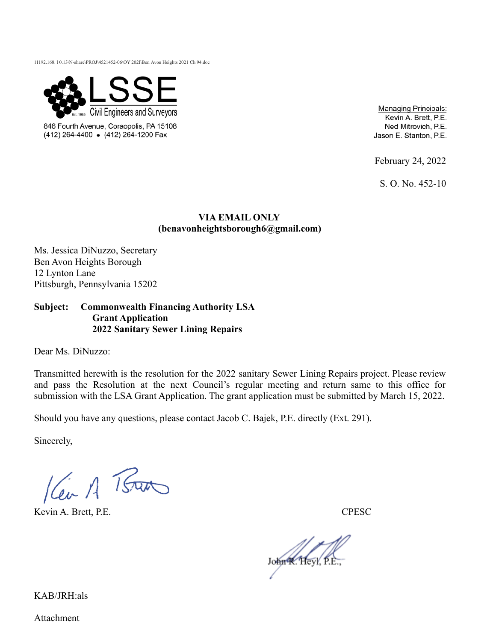11192.168. l 0.13\N-share\PROJ\4521452-06\OY 202I\Ben Avon Heights 2021 Ch 94.doc



846 Fourth Avenue, Coraopolis, PA 15108 (412) 264-4400 • (412) 264-1200 Fax

**Managing Principals:** Kevin A. Brett, P.E. Ned Mitrovich, P.E. Jason E. Stanton, P.E.

February 24, 2022

S. O. No. 452-10

#### **VIA EMAIL ONLY (benavonheightsborough6@gmail.com)**

Ms. Jessica DiNuzzo, Secretary Ben Avon Heights Borough 12 Lynton Lane Pittsburgh, Pennsylvania 15202

#### **Subject: Commonwealth Financing Authority LSA Grant Application 2022 Sanitary Sewer Lining Repairs**

Dear Ms. DiNuzzo:

Transmitted herewith is the resolution for the 2022 sanitary Sewer Lining Repairs project. Please review and pass the Resolution at the next Council's regular meeting and return same to this office for submission with the LSA Grant Application. The grant application must be submitted by March 15, 2022.

Should you have any questions, please contact Jacob C. Bajek, P.E. directly (Ext. 291).

Sincerely,

Kein A Bar

Kevin A. Brett, P.E. CPESC

John K. Heyl, P.E

KAB/JRH:als

Attachment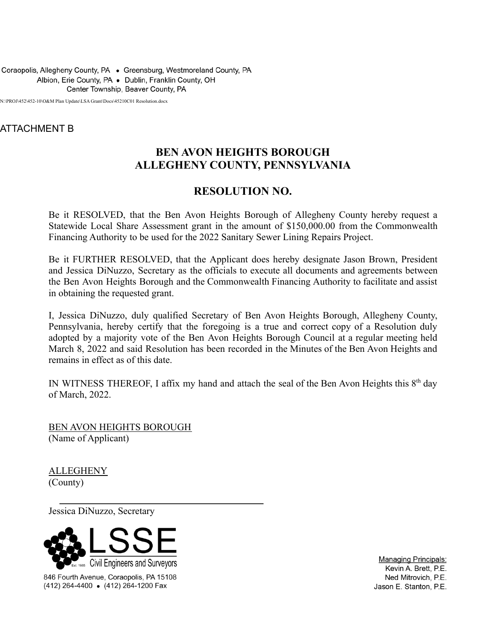Coraopolis, Allegheny County, PA . Greensburg, Westmoreland County, PA Albion, Erie County, PA . Dublin, Franklin County, OH Center Township, Beaver County, PA

N:\PROJ\452\452-10\O&M Plan Update\LSA Grant\Docs\45210C01 Resolution.docx

# ATTACHMENT B

# **BEN AVON HEIGHTS BOROUGH ALLEGHENY COUNTY, PENNSYLVANIA**

# **RESOLUTION NO.**

Be it RESOLVED, that the Ben Avon Heights Borough of Allegheny County hereby request a Statewide Local Share Assessment grant in the amount of \$150,000.00 from the Commonwealth Financing Authority to be used for the 2022 Sanitary Sewer Lining Repairs Project.

Be it FURTHER RESOLVED, that the Applicant does hereby designate Jason Brown, President and Jessica DiNuzzo, Secretary as the officials to execute all documents and agreements between the Ben Avon Heights Borough and the Commonwealth Financing Authority to facilitate and assist in obtaining the requested grant.

I, Jessica DiNuzzo, duly qualified Secretary of Ben Avon Heights Borough, Allegheny County, Pennsylvania, hereby certify that the foregoing is a true and correct copy of a Resolution duly adopted by a majority vote of the Ben Avon Heights Borough Council at a regular meeting held March 8, 2022 and said Resolution has been recorded in the Minutes of the Ben Avon Heights and remains in effect as of this date.

IN WITNESS THEREOF, I affix my hand and attach the seal of the Ben Avon Heights this  $8<sup>th</sup>$  day of March, 2022.

BEN AVON HEIGHTS BOROUGH (Name of Applicant)

**ALLEGHENY** (County)

Jessica DiNuzzo, Secretary



846 Fourth Avenue, Coraopolis, PA 15108 (412) 264-4400 • (412) 264-1200 Fax

**Managing Principals:** Kevin A. Brett, P.E. Ned Mitrovich, P.E. Jason E. Stanton, P.E.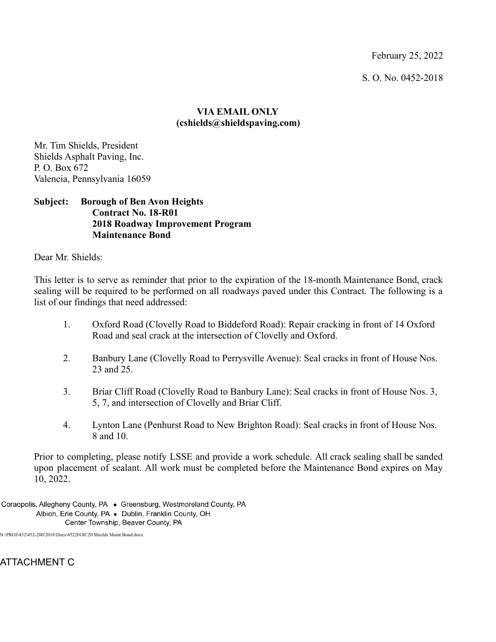February 25, 2022

S. O. No. 0452-2018

## **VIA EMAIL ONLY (cshields@shieldspaving.com)**

Mr. Tim Shields, President Shields Asphalt Paving, Inc. P. O. Box 672 Valencia, Pennsylvania 16059

#### **Subject: Borough of Ben Avon Heights Contract No. 18-R01 2018 Roadway Improvement Program Maintenance Bond**

Dear Mr. Shields:

This letter is to serve as reminder that prior to the expiration of the 18-month Maintenance Bond, crack sealing will be required to be performed on all roadways paved under this Contract. The following is a list of our findings that need addressed:

- 1. Oxford Road (Clovelly Road to Biddeford Road): Repair cracking in front of 14 Oxford Road and seal crack at the intersection of Clovelly and Oxford.
- 2. Banbury Lane (Clovelly Road to Perrysville Avenue): Seal cracks in front of House Nos. 23 and 25.
- 3. Briar Cliff Road (Clovelly Road to Banbury Lane): Seal cracks in front of House Nos. 3, 5, 7, and intersection of Clovelly and Briar Cliff.
- 4. Lynton Lane (Penhurst Road to New Brighton Road): Seal cracks in front of House Nos. 8 and 10.

Prior to completing, please notify LSSE and provide a work schedule. All crack sealing shall be sanded upon placement of sealant. All work must be completed before the Maintenance Bond expires on May 10, 2022.

Coraopolis, Allegheny County, PA . Greensburg, Westmoreland County, PA Albion, Erie County, PA . Dublin, Franklin County, OH Center Township, Beaver County, PA

N:\PROJ\452\452-200\2018\Docs\4522018C20 Shields Maint Bond.docx

ATTACHMENT C